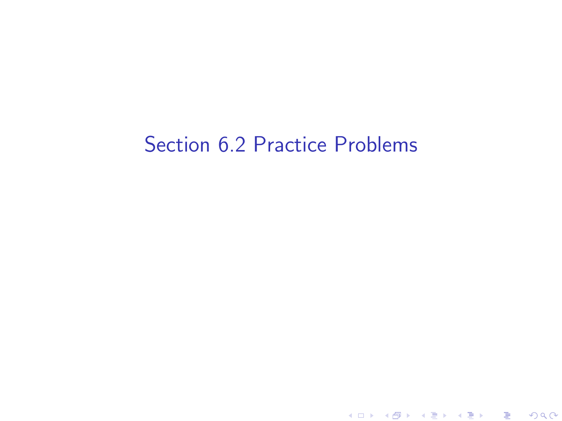# Section 6.2 Practice Problems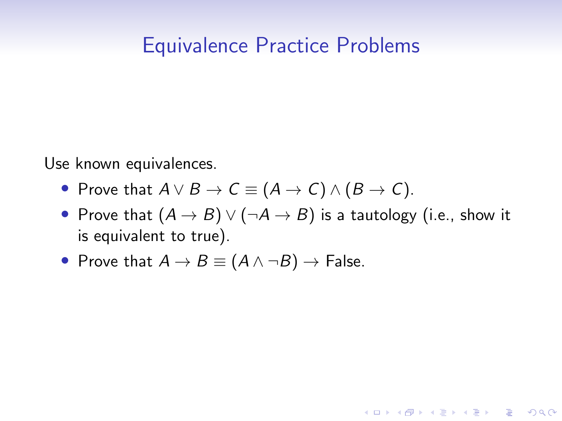# Equivalence Practice Problems

Use known equivalences.

- Prove that  $A \lor B \to C \equiv (A \to C) \land (B \to C)$ .
- Prove that  $(A \rightarrow B) \vee (\neg A \rightarrow B)$  is a tautology (i.e., show it is equivalent to true).

**KORKARYKERKER POLO** 

• Prove that  $A \rightarrow B \equiv (A \land \neg B) \rightarrow$  False.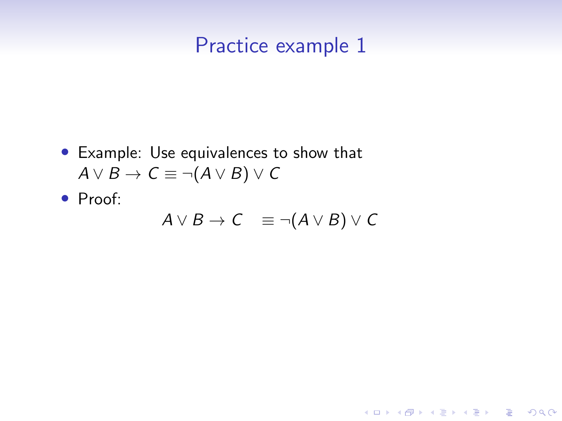- Example: Use equivalences to show that  $A \vee B \rightarrow C \equiv \neg (A \vee B) \vee C$
- Proof:

$$
A \vee B \to C \equiv \neg(A \vee B) \vee C
$$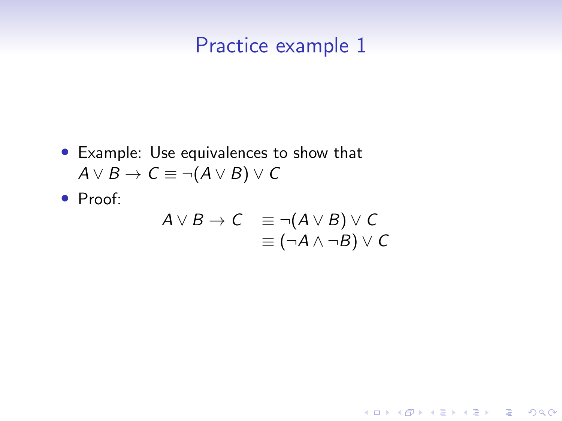- Example: Use equivalences to show that  $A \vee B \rightarrow C \equiv \neg (A \vee B) \vee C$
- Proof:

$$
A \lor B \to C \equiv \neg(A \lor B) \lor C
$$
  

$$
\equiv (\neg A \land \neg B) \lor C
$$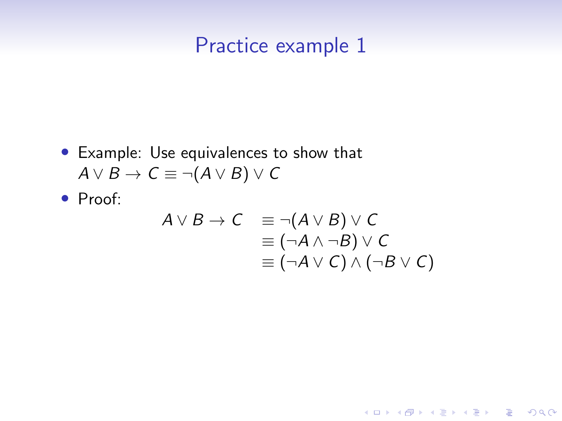- Example: Use equivalences to show that  $A \vee B \rightarrow C \equiv \neg(A \vee B) \vee C$
- Proof:

$$
A \lor B \to C \equiv \neg(A \lor B) \lor C
$$
  

$$
\equiv (\neg A \land \neg B) \lor C
$$
  

$$
\equiv (\neg A \lor C) \land (\neg B \lor C)
$$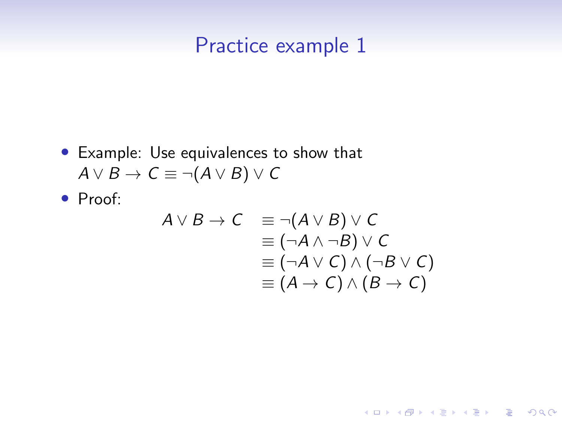• Example: Use equivalences to show that  $A \vee B \rightarrow C \equiv \neg (A \vee B) \vee C$ 

• Proof:

$$
A \lor B \to C \equiv \neg(A \lor B) \lor C
$$
  
\n
$$
\equiv (\neg A \land \neg B) \lor C
$$
  
\n
$$
\equiv (\neg A \lor C) \land (\neg B \lor C)
$$
  
\n
$$
\equiv (A \to C) \land (B \to C)
$$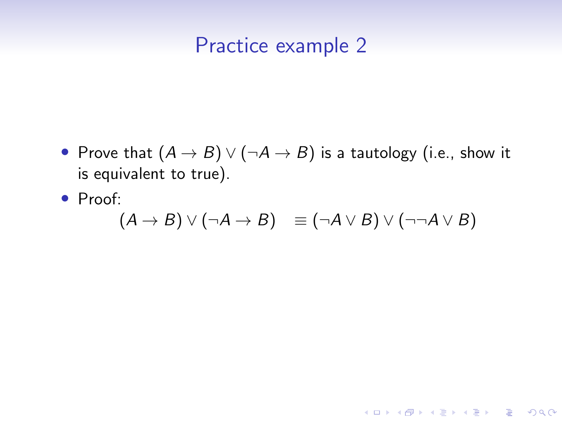- Prove that  $(A \rightarrow B) \vee (\neg A \rightarrow B)$  is a tautology (i.e., show it is equivalent to true).
- Proof:

$$
(A \to B) \lor (\neg A \to B) \equiv (\neg A \lor B) \lor (\neg \neg A \lor B)
$$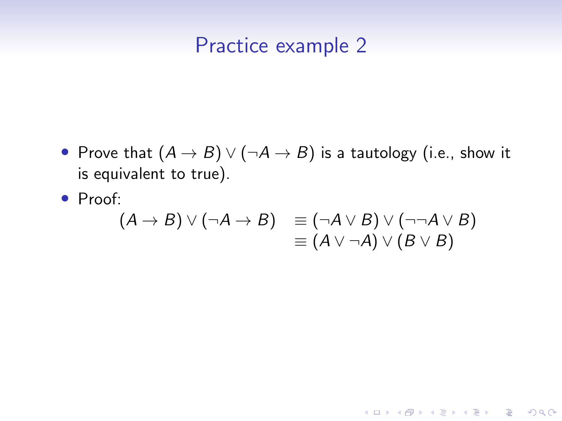- Prove that  $(A \rightarrow B) \vee (\neg A \rightarrow B)$  is a tautology (i.e., show it is equivalent to true).
- Proof:

$$
(A \rightarrow B) \vee (\neg A \rightarrow B) \equiv (\neg A \vee B) \vee (\neg \neg A \vee B) \equiv (A \vee \neg A) \vee (B \vee B)
$$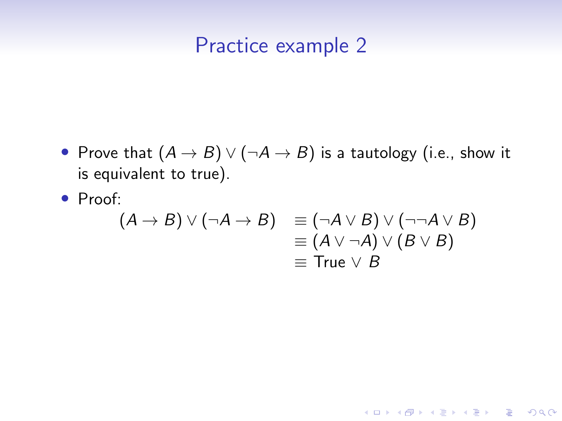- Prove that  $(A \rightarrow B) \vee (\neg A \rightarrow B)$  is a tautology (i.e., show it is equivalent to true).
- Proof:

$$
(A \rightarrow B) \lor (\neg A \rightarrow B) \equiv (\neg A \lor B) \lor (\neg \neg A \lor B)
$$
  

$$
\equiv (A \lor \neg A) \lor (B \lor B)
$$
  

$$
\equiv \text{True} \lor B
$$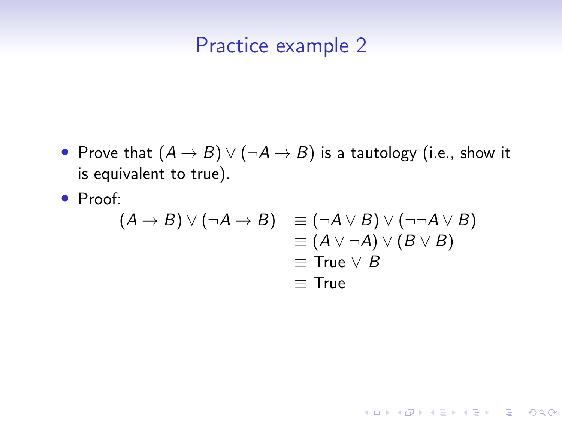- Prove that  $(A \rightarrow B) \vee (\neg A \rightarrow B)$  is a tautology (i.e., show it is equivalent to true).
- Proof:

$$
(A \rightarrow B) \lor (\neg A \rightarrow B) \equiv (\neg A \lor B) \lor (\neg \neg A \lor B)
$$
  
\n
$$
\equiv (A \lor \neg A) \lor (B \lor B)
$$
  
\n
$$
\equiv \text{True} \lor B
$$
  
\n
$$
\equiv \text{True}
$$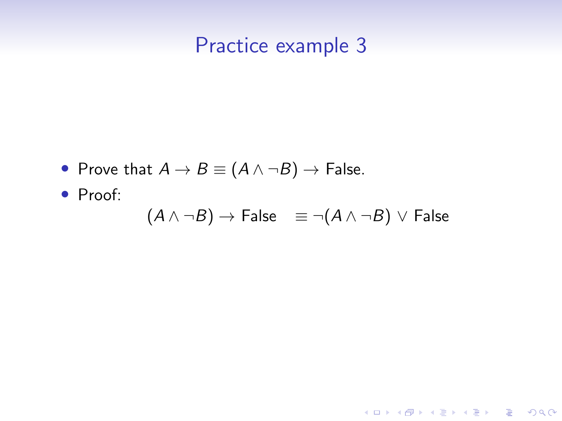- Prove that  $A \rightarrow B \equiv (A \land \neg B) \rightarrow$  False.
- Proof:

$$
(A \land \neg B) \to \mathsf{False} \quad \equiv \neg(A \land \neg B) \lor \mathsf{False}
$$

**Kロトメ部トメミトメミト ミニのQC**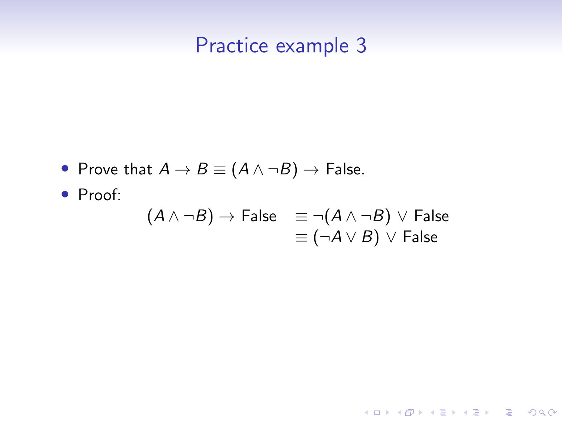- Prove that  $A \rightarrow B \equiv (A \land \neg B) \rightarrow$  False.
- Proof:

$$
(A \land \neg B) \rightarrow \text{False} \equiv \neg(A \land \neg B) \lor \text{False}
$$
  

$$
\equiv (\neg A \lor B) \lor \text{False}
$$

**Kロトメ部トメミトメミト ミニのQC**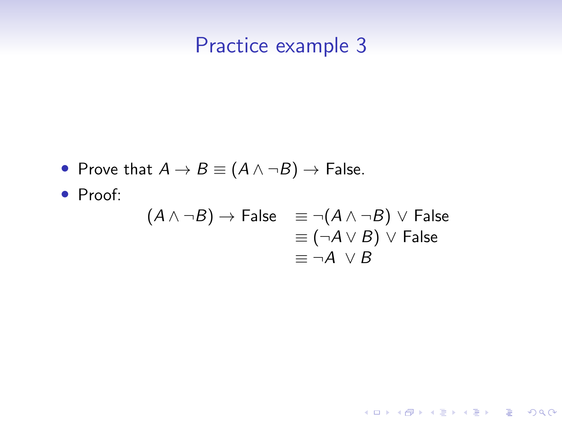- Prove that  $A \rightarrow B \equiv (A \land \neg B) \rightarrow$  False.
- Proof:

$$
(A \land \neg B) \rightarrow \text{False} \equiv \neg(A \land \neg B) \lor \text{False}
$$
  

$$
\equiv (\neg A \lor B) \lor \text{False}
$$
  

$$
\equiv \neg A \lor B
$$

**Kロトメ部トメミトメミト ミニのQC**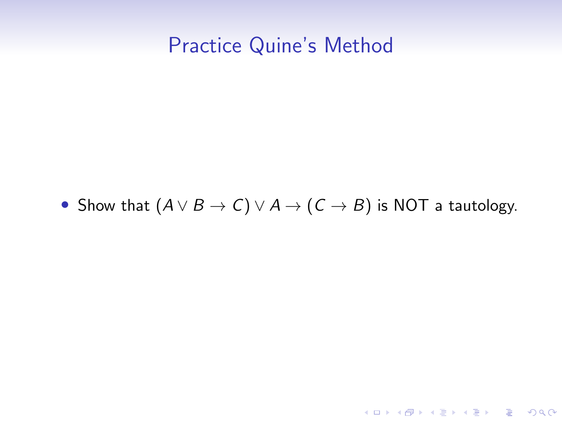# Practice Quine's Method

#### • Show that  $(A \lor B \to C) \lor A \to (C \to B)$  is NOT a tautology.

K ロ ▶ K @ ▶ K 할 ▶ K 할 ▶ | 할 | ⊙Q @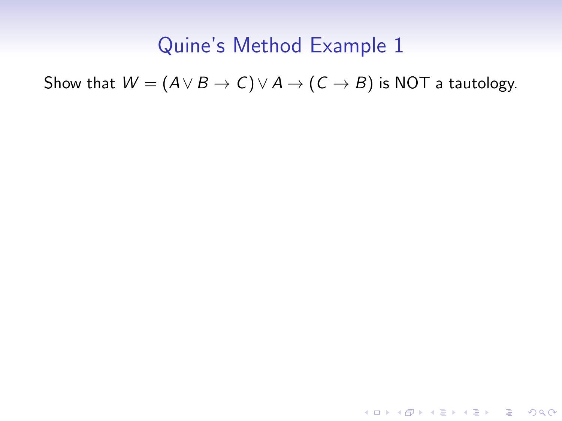Show that  $W = (A \lor B \to C) \lor A \to (C \to B)$  is NOT a tautology.

KO KKOKKEKKEK E DAG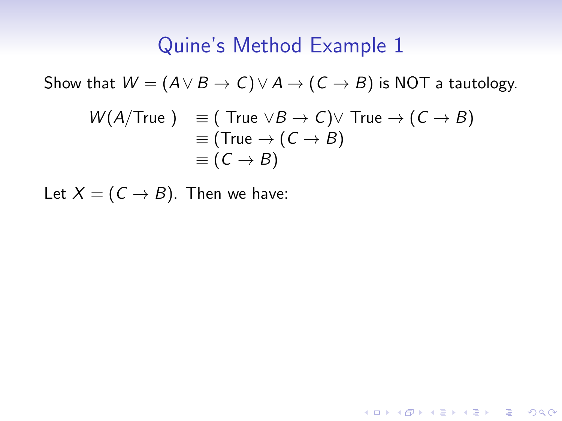Show that  $W = (A \lor B \to C) \lor A \to (C \to B)$  is NOT a tautology.

$$
W(A/\text{True}) \equiv (\text{True} \lor B \to C) \lor \text{True} \to (C \to B)
$$
  

$$
\equiv (\text{True} \to (C \to B)
$$
  

$$
\equiv (C \to B)
$$

KO K K Ø K K E K K E K V K K K K K K K K K

Let  $X = (C \rightarrow B)$ . Then we have: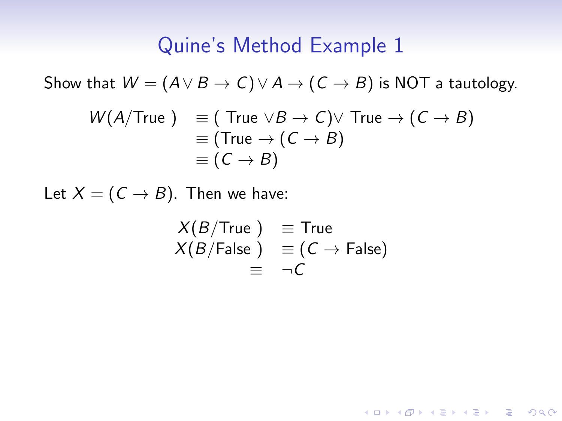Show that  $W = (A \lor B \to C) \lor A \to (C \to B)$  is NOT a tautology.

$$
W(A/\text{True } ) \equiv (\text{True } \vee B \to C) \vee \text{ True } \to (C \to B)
$$
  

$$
\equiv (\text{True } \to (C \to B)
$$
  

$$
\equiv (C \to B)
$$

Let  $X = (C \rightarrow B)$ . Then we have:

$$
X(B/\text{True}) \equiv \text{True}
$$
  
 
$$
X(B/\text{False}) \equiv (C \rightarrow \text{False})
$$
  
 
$$
\equiv \neg C
$$

KO K K Ø K K E K K E K V K K K K K K K K K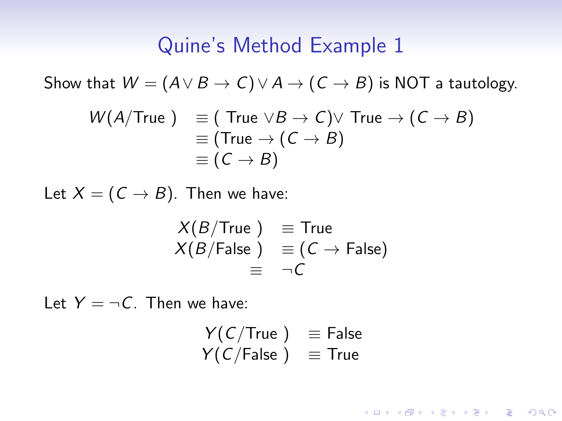Show that  $W = (A \lor B \to C) \lor A \to (C \to B)$  is NOT a tautology.

$$
W(A/\text{True } ) \equiv (\text{True } \vee B \to C) \vee \text{ True } \to (C \to B)
$$
  

$$
\equiv (\text{True } \to (C \to B)
$$
  

$$
\equiv (C \to B)
$$

Let  $X = (C \rightarrow B)$ . Then we have:

$$
X(B/\text{True}) \equiv \text{True}
$$
  
 
$$
X(B/\text{False}) \equiv (C \rightarrow \text{False})
$$
  
 
$$
\equiv \neg C
$$

Let  $Y = \neg C$ . Then we have:

$$
Y(C/True) \equiv False
$$
  
 
$$
Y(C/False) \equiv True
$$

KO K K Ø K K E K K E K V K K K K K K K K K